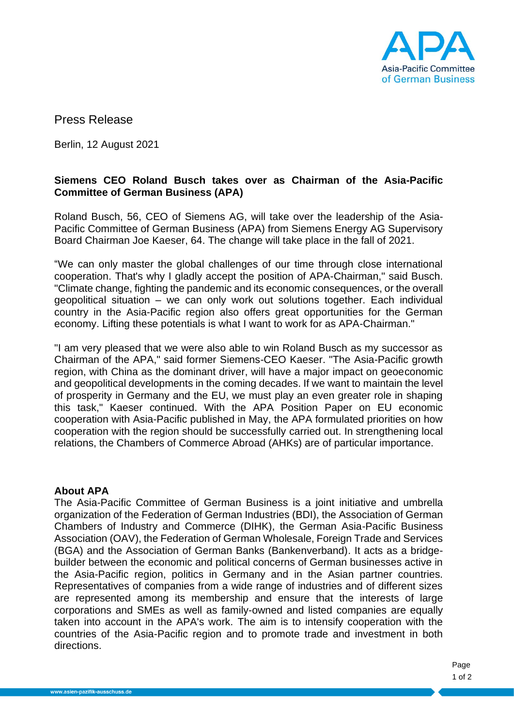

Press Release

Berlin, 12 August 2021

## **Siemens CEO Roland Busch takes over as Chairman of the Asia-Pacific Committee of German Business (APA)**

Roland Busch, 56, CEO of Siemens AG, will take over the leadership of the Asia-Pacific Committee of German Business (APA) from Siemens Energy AG Supervisory Board Chairman Joe Kaeser, 64. The change will take place in the fall of 2021.

"We can only master the global challenges of our time through close international cooperation. That's why I gladly accept the position of APA-Chairman," said Busch. "Climate change, fighting the pandemic and its economic consequences, or the overall geopolitical situation – we can only work out solutions together. Each individual country in the Asia-Pacific region also offers great opportunities for the German economy. Lifting these potentials is what I want to work for as APA-Chairman."

"I am very pleased that we were also able to win Roland Busch as my successor as Chairman of the APA," said former Siemens-CEO Kaeser. "The Asia-Pacific growth region, with China as the dominant driver, will have a major impact on geoeconomic and geopolitical developments in the coming decades. If we want to maintain the level of prosperity in Germany and the EU, we must play an even greater role in shaping this task," Kaeser continued. With the APA Position Paper on EU economic cooperation with Asia-Pacific published in May, the APA formulated priorities on how cooperation with the region should be successfully carried out. In strengthening local relations, the Chambers of Commerce Abroad (AHKs) are of particular importance.

## **About APA**

The Asia-Pacific Committee of German Business is a joint initiative and umbrella organization of the Federation of German Industries (BDI), the Association of German Chambers of Industry and Commerce (DIHK), the German Asia-Pacific Business Association (OAV), the Federation of German Wholesale, Foreign Trade and Services (BGA) and the Association of German Banks (Bankenverband). It acts as a bridgebuilder between the economic and political concerns of German businesses active in the Asia-Pacific region, politics in Germany and in the Asian partner countries. Representatives of companies from a wide range of industries and of different sizes are represented among its membership and ensure that the interests of large corporations and SMEs as well as family-owned and listed companies are equally taken into account in the APA's work. The aim is to intensify cooperation with the countries of the Asia-Pacific region and to promote trade and investment in both directions.